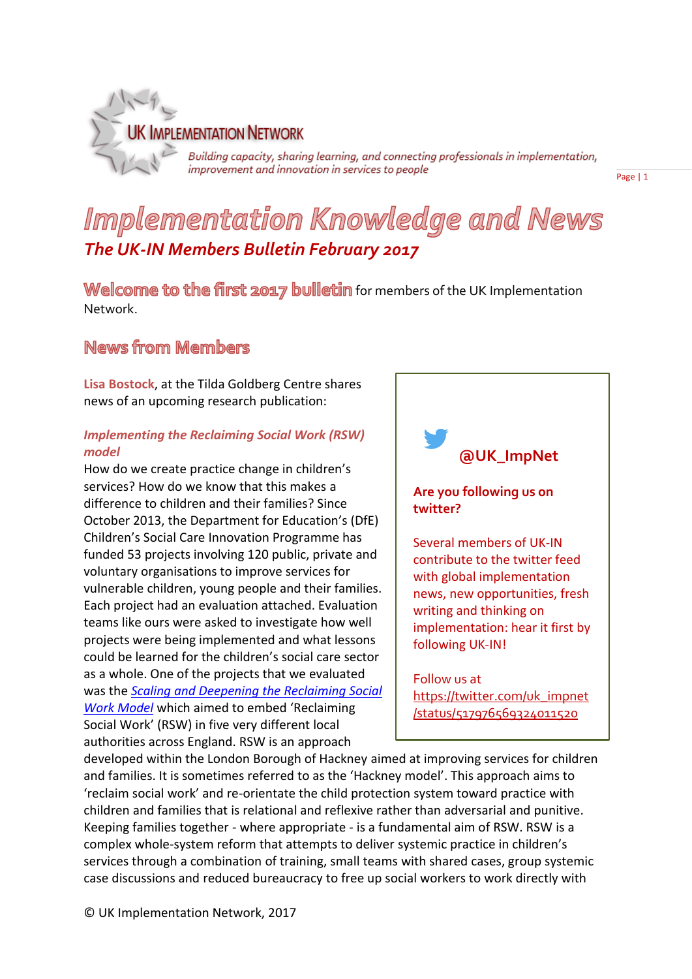

Building capacity, sharing learning, and connecting professionals in implementation, improvement and innovation in services to people

Page | 1

# Implementation Knowledge and News *The UK-IN Members Bulletin February 2017*

Welcome to the first 2017 bulletin for members of the UK Implementation Network.

## News from Members

**Lisa Bostock**, at the Tilda Goldberg Centre shares news of an upcoming research publication:

#### *Implementing the Reclaiming Social Work (RSW) model*

How do we create practice change in children's services? How do we know that this makes a difference to children and their families? Since October 2013, the Department for Education's (DfE) Children's Social Care Innovation Programme has funded 53 projects involving 120 public, private and voluntary organisations to improve services for vulnerable children, young people and their families. Each project had an evaluation attached. Evaluation teams like ours were asked to investigate how well projects were being implemented and what lessons could be learned for the children's social care sector as a whole. One of the projects that we evaluated was the *[Scaling and Deepening the Reclaiming Social](http://springconsortium.com/evidence-learning/how-projects-are-being-evaluated/#t12)  [Work Model](http://springconsortium.com/evidence-learning/how-projects-are-being-evaluated/#t12)* which aimed to embed 'Reclaiming Social Work' (RSW) in five very different local authorities across England. RSW is an approach



developed within the London Borough of Hackney aimed at improving services for children and families. It is sometimes referred to as the 'Hackney model'. This approach aims to 'reclaim social work' and re-orientate the child protection system toward practice with children and families that is relational and reflexive rather than adversarial and punitive. Keeping families together - where appropriate - is a fundamental aim of RSW. RSW is a complex whole-system reform that attempts to deliver systemic practice in children's services through a combination of training, small teams with shared cases, group systemic case discussions and reduced bureaucracy to free up social workers to work directly with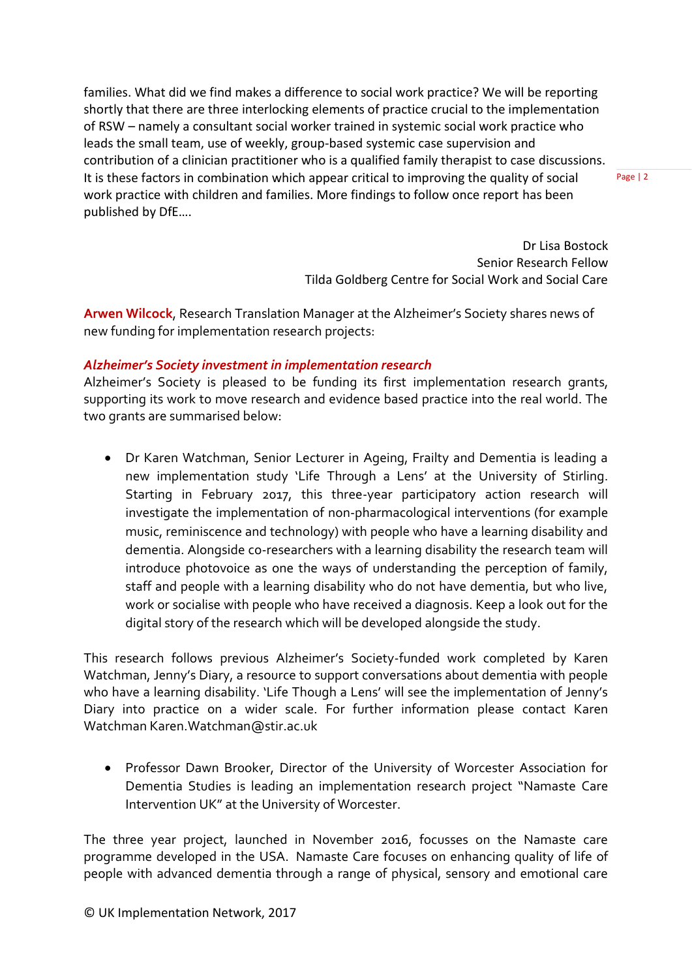families. What did we find makes a difference to social work practice? We will be reporting shortly that there are three interlocking elements of practice crucial to the implementation of RSW – namely a consultant social worker trained in systemic social work practice who leads the small team, use of weekly, group-based systemic case supervision and contribution of a clinician practitioner who is a qualified family therapist to case discussions. It is these factors in combination which appear critical to improving the quality of social work practice with children and families. More findings to follow once report has been published by DfE….

Page | 2

Dr Lisa Bostock Senior Research Fellow Tilda Goldberg Centre for Social Work and Social Care

**Arwen Wilcock**, Research Translation Manager at the Alzheimer's Society shares news of new funding for implementation research projects:

#### *Alzheimer's Society investment in implementation research*

Alzheimer's Society is pleased to be funding its first [implementation research grants](https://www.alzheimers.org.uk/site/scripts/documents_info.php?documentID=2171&pageNumber=14), supporting its work to move research and evidence based practice into the real world. The two grants are summarised below:

 Dr Karen Watchman, Senior Lecturer in Ageing, Frailty and Dementia is leading a new implementation study '[Life Through a Lens](https://www.alzheimers.org.uk/site/scripts/documents_info.php?documentID=3378)' at the University of Stirling. Starting in February 2017, this three-year participatory action research will investigate the implementation of non-pharmacological interventions (for example music, reminiscence and technology) with people who have a learning disability and dementia. Alongside co-researchers with a learning disability the research team will introduce photovoice as one the ways of understanding the perception of family, staff and people with a learning disability who do not have dementia, but who live, work or socialise with people who have received a diagnosis. Keep a look out for the digital story of the research which will be developed alongside the study.

This research follows previous Alzheimer's Society-funded work completed by Karen Watchman, [Jenny's Diary](http://www.uws.ac.uk/jennysdiary/), a resource to support conversations about dementia with people who have a learning disability. 'Life Though a Lens' will see the implementation of Jenny's Diary into practice on a wider scale. For further information please contact Karen Watchman [Karen.Watchman@stir.ac.uk](mailto:Karen.Watchman@stir.ac.uk)

 Professor Dawn Brooker, Director of the University of Worcester Association for Dementia Studies is leading an implementation research project "[Namaste Care](https://www.alzheimers.org.uk/site/scripts/documents_info.php?documentID=3379)  [Intervention UK](https://www.alzheimers.org.uk/site/scripts/documents_info.php?documentID=3379)" at the University of Worcester.

The three year project, launched in November 2016, focusses on the Namaste care programme developed in the USA. Namaste Care focuses on enhancing quality of life of people with advanced dementia through a range of physical, sensory and emotional care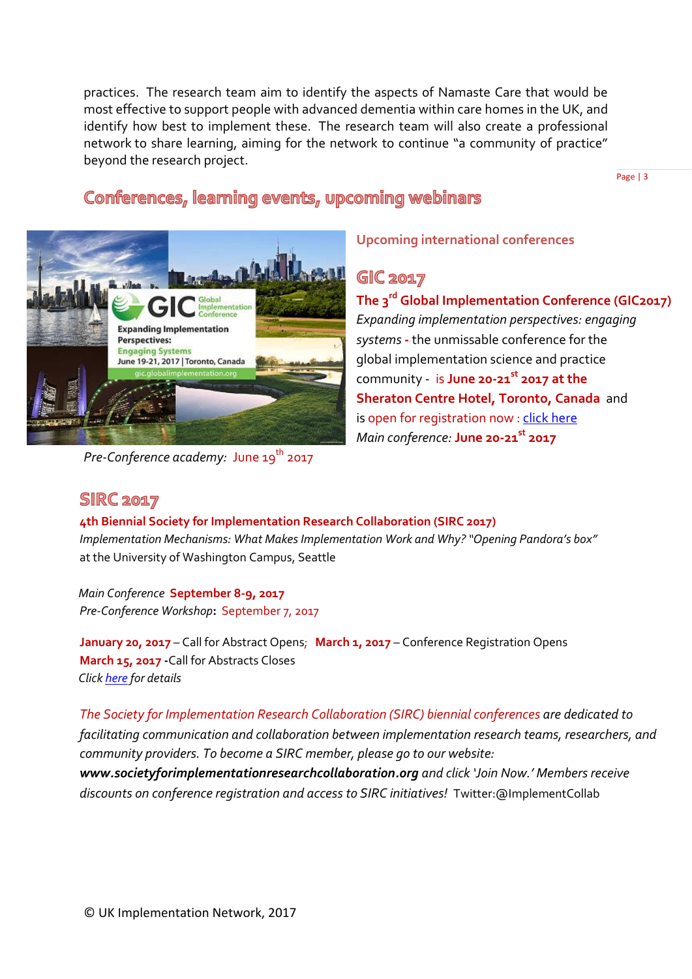practices. The research team aim to identify the aspects of Namaste Care that would be most effective to support people with advanced dementia within care homes in the UK, and identify how best to implement these. The research team will also create a professional network to share learning, aiming for the network to continue "a community of practice" beyond the research project.

Page | 3

# Conferences, learning events, upcoming webinars



*Pre-Conference academy:* June 19<sup>th</sup> 2017

#### **Upcoming international conferences**

### **GIC 2017**

**The 3 rd Global Implementation Conference (GIC2017)**  *Expanding implementation perspectives: engaging systems* **-** the unmissable conference for the global implementation science and practice community -is **June 20-21st 2017 at the Sheraton Centre Hotel, Toronto, Canada** and is open for registration now : [click here](https://www.eiseverywhere.com/ereg/index.php?eventid=191330&) *Main conference:* **June 20-21st 2017**

## **SIRC 2017**

**4th Biennial Society for Implementation Research Collaboration (SIRC 2017)** *Implementation Mechanisms: What Makes Implementation Work and Why? "Opening Pandora's box"* at the University of Washington Campus, Seattle

*Main Conference* **September 8-9, 2017** *Pre-Conference Workshop***:** September 7, 2017

**January 20, 2017** – Call for Abstract Opens; **March 1, 2017** – Conference Registration Opens **March 15, 2017 -**Call for Abstracts Closes *Clic[k here](https://societyforimplementationresearchcollaboration.org/) for details*

*The Society for Implementation Research Collaboration (SIRC) biennial conferences are dedicated to facilitating communication and collaboration between implementation research teams, researchers, and community providers. To become a SIRC member, please go to our website: [www.societyforimplementationresearchcollaboration.org](http://www.societyforimplementationresearchcollaboration.org/) and click 'Join Now.' Members receive discounts on conference registration and access to SIRC initiatives!* Twitter:@ImplementCollab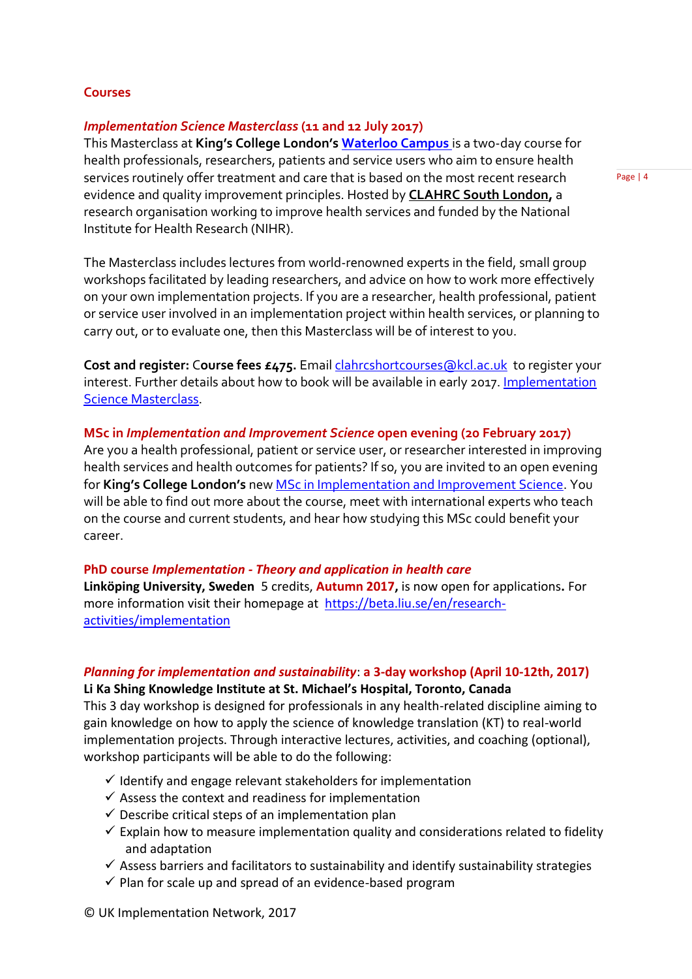#### **Courses**

#### *Implementation Science Masterclass* **(11 and 12 July 2017)**

This Masterclass at **King's College London's [Waterloo Campus](http://www.kcl.ac.uk/study/campus/waterloo.aspx)** is a two-day course for health professionals, researchers, patients and service users who aim to ensure health services routinely offer treatment and care that is based on the most recent research evidence and quality improvement principles. Hosted by **[CLAHRC South London,](http://www.clahrc-southlondon.nihr.ac.uk/)** a research organisation working to improve health services and funded by the National Institute for Health Research (NIHR).

The Masterclass includes lectures from world-renowned experts in the field, small group workshops facilitated by leading researchers, and advice on how to work more effectively on your own implementation projects. If you are a researcher, health professional, patient or service user involved in an implementation project within health services, or planning to carry out, or to evaluate one, then this Masterclass will be of interest to you.

**Cost and register:** C**ourse fees £475.** Email [clahrcshortcourses@kcl.ac.uk](mailto:clahrcshortcourses@kcl.ac.uk) to register your interest. Further details about how to book will be available in early 2017. [Implementation](http://www.clahrc-southlondon.nihr.ac.uk/events/2017/implementation-science-masterclass-tuesday-11-and-wednesday-12-july-2017)  [Science Masterclass.](http://www.clahrc-southlondon.nihr.ac.uk/events/2017/implementation-science-masterclass-tuesday-11-and-wednesday-12-july-2017)

#### **MSc in** *Implementation and Improvement Science* **open evening (20 February 2017)**

Are you a health professional, patient or service user, or researcher interested in improving health services and health outcomes for patients? If so, you are invited to an open evening for **King's College London's** new [MSc in Implementation and Improvement Science.](http://www.kcl.ac.uk/study/postgraduate/taught-courses/implementation-and-improvement-science-msc.aspx) You will be able to find out more about the course, meet with international experts who teach on the course and current students, and hear how studying this MSc could benefit your career.

#### **PhD course** *Implementation - Theory and application in health care*

**Linköping University, Sweden** 5 credits, **Autumn 2017,** is now open for applications**.** For more information visit their homepage at [https://beta.liu.se/en/research](https://beta.liu.se/en/research-activities/implementation)[activities/implementation](https://beta.liu.se/en/research-activities/implementation)

#### *Planning for implementation and sustainability*: **a 3-day workshop (April 10-12th, 2017) Li Ka Shing Knowledge Institute at St. Michael's Hospital, Toronto, Canada**

This 3 day workshop is designed for professionals in any health-related discipline aiming to gain knowledge on how to apply the science of knowledge translation (KT) to real-world implementation projects. Through interactive lectures, activities, and coaching (optional), workshop participants will be able to do the following:

- $\checkmark$  Identify and engage relevant stakeholders for implementation
- $\checkmark$  Assess the context and readiness for implementation
- $\checkmark$  Describe critical steps of an implementation plan
- $\checkmark$  Explain how to measure implementation quality and considerations related to fidelity and adaptation
- $\checkmark$  Assess barriers and facilitators to sustainability and identify sustainability strategies
- $\checkmark$  Plan for scale up and spread of an evidence-based program

© UK Implementation Network, 2017

Page | 4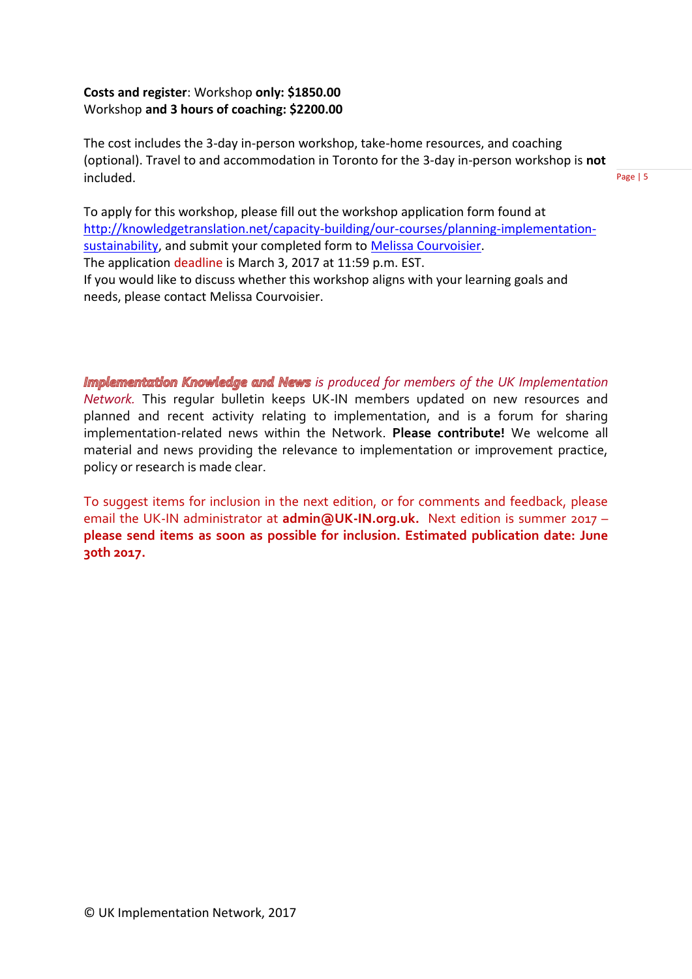#### **Costs and register**: Workshop **only: \$1850.00** Workshop **and 3 hours of coaching: \$2200.00**

The cost includes the 3-day in-person workshop, take-home resources, and coaching (optional). Travel to and accommodation in Toronto for the 3-day in-person workshop is **not** included.

Page | 5

To apply for this workshop, please fill out the workshop application form found at [http://knowledgetranslation.net/capacity-building/our-courses/planning-implementation](http://knowledgetranslation.net/capacity-building/our-courses/planning-implementation-sustainability)[sustainability,](http://knowledgetranslation.net/capacity-building/our-courses/planning-implementation-sustainability) and submit your completed form to [Melissa Courvoisier.](mailto:CourvoisierM@smh.ca) The application deadline is March 3, 2017 at 11:59 p.m. EST. If you would like to discuss whether this workshop aligns with your learning goals and needs, please contact Melissa Courvoisier.

**Implementation Knowledge and News** is produced for members of the UK Implementation *Network.* This regular bulletin keeps UK-IN members updated on new resources and planned and recent activity relating to implementation, and is a forum for sharing implementation-related news within the Network. **Please contribute!** We welcome all material and news providing the relevance to implementation or improvement practice, policy or research is made clear.

To suggest items for inclusion in the next edition, or for comments and feedback, please email the UK-IN administrator at **admi[n@UK-IN.org.uk.](mailto:knowledge@UK-IN.org.uk)** Next edition is summer 2017 – **please send items as soon as possible for inclusion. Estimated publication date: June 30th 2017.**